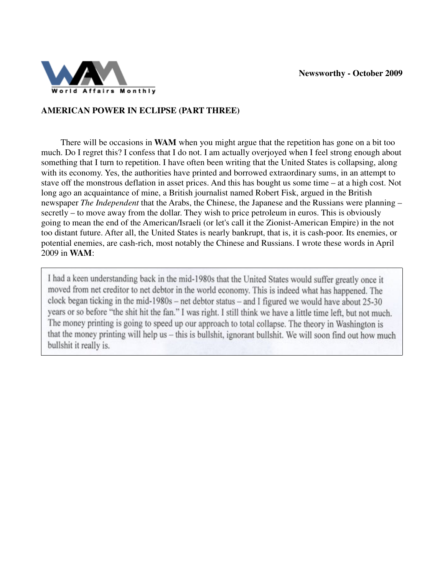

## **AMERICAN POWER IN ECLIPSE (PART THREE)**

 There will be occasions in **WAM** when you might argue that the repetition has gone on a bit too much. Do I regret this? I confess that I do not. I am actually overjoyed when I feel strong enough about something that I turn to repetition. I have often been writing that the United States is collapsing, along with its economy. Yes, the authorities have printed and borrowed extraordinary sums, in an attempt to stave off the monstrous deflation in asset prices. And this has bought us some time – at a high cost. Not long ago an acquaintance of mine, a British journalist named Robert Fisk, argued in the British newspaper *The Independent* that the Arabs, the Chinese, the Japanese and the Russians were planning – secretly – to move away from the dollar. They wish to price petroleum in euros. This is obviously going to mean the end of the American/Israeli (or let's call it the Zionist-American Empire) in the not too distant future. After all, the United States is nearly bankrupt, that is, it is cash-poor. Its enemies, or potential enemies, are cash-rich, most notably the Chinese and Russians. I wrote these words in April 2009 in **WAM**:

I had a keen understanding back in the mid-1980s that the United States would suffer greatly once it moved from net creditor to net debtor in the world economy. This is indeed what has happened. The clock began ticking in the mid-1980s – net debtor status – and I figured we would have about  $25-30$ years or so before "the shit hit the fan." I was right. I still think we have a little time left, but not much. The money printing is going to speed up our approach to total collapse. The theory in Washington is that the money printing will help us - this is bullshit, ignorant bullshit. We will soon find out how much bullshit it really is.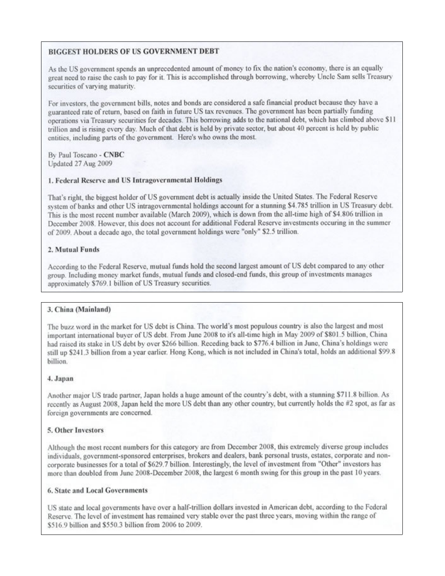## **BIGGEST HOLDERS OF US GOVERNMENT DEBT**

As the US government spends an unprecedented amount of money to fix the nation's economy, there is an equally great need to raise the cash to pay for it. This is accomplished through borrowing, whereby Uncle Sam sells Treasury securities of varying maturity.

For investors, the government bills, notes and bonds are considered a safe financial product because they have a guaranteed rate of return, based on faith in future US tax revenues. The government has been partially funding operations via Treasury securities for decades. This borrowing adds to the national debt, which has climbed above \$11 trillion and is rising every day. Much of that debt is held by private sector, but about 40 percent is held by public entities, including parts of the government. Here's who owns the most.

By Paul Toscano - CNBC Updated 27 Aug 2009

#### 1. Federal Reserve and US Intragovernmental Holdings

That's right, the biggest holder of US government debt is actually inside the United States. The Federal Reserve system of banks and other US intragovernmental holdings account for a stunning \$4.785 trillion in US Treasury debt. This is the most recent number available (March 2009), which is down from the all-time high of \$4.806 trillion in December 2008. However, this does not account for additional Federal Reserve investments occuring in the summer of 2009. About a decade ago, the total government holdings were "only" \$2.5 trillion.

#### 2. Mutual Funds

According to the Federal Reserve, mutual funds hold the second largest amount of US debt compared to any other group. Including money market funds, mutual funds and closed-end funds, this group of investments manages approximately \$769.1 billion of US Treasury securities.

#### 3. China (Mainland)

The buzz word in the market for US debt is China. The world's most populous country is also the largest and most important international buyer of US debt. From June 2008 to it's all-time high in May 2009 of \$801.5 billion, China had raised its stake in US debt by over \$266 billion. Receding back to \$776.4 billion in June, China's holdings were still up \$241.3 billion from a year earlier. Hong Kong, which is not included in China's total, holds an additional \$99.8 billion.

#### 4. Japan

Another major US trade partner, Japan holds a huge amount of the country's debt, with a stunning \$711.8 billion. As recently as August 2008, Japan held the more US debt than any other country, but currently holds the #2 spot, as far as foreign governments are concerned.

#### 5. Other Investors

Although the most recent numbers for this category are from December 2008, this extremely diverse group includes individuals, government-sponsored enterprises, brokers and dealers, bank personal trusts, estates, corporate and noncorporate businesses for a total of \$629.7 billion. Interestingly, the level of investment from "Other" investors has more than doubled from June 2008-December 2008, the largest 6 month swing for this group in the past 10 years.

#### 6. State and Local Governments

US state and local governments have over a half-trillion dollars invested in American debt, according to the Federal Reserve. The level of investment has remained very stable over the past three years, moving within the range of \$516.9 billion and \$550.3 billion from 2006 to 2009.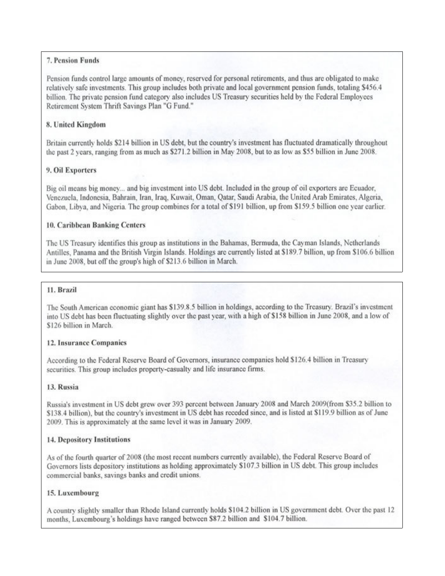## 7. Pension Funds

Pension funds control large amounts of money, reserved for personal retirements, and thus are obligated to make relatively safe investments. This group includes both private and local government pension funds, totaling \$456.4 billion. The private pension fund category also includes US Treasury securities held by the Federal Employees Retirement System Thrift Savings Plan "G Fund."

## 8. United Kingdom

Britain currently holds \$214 billion in US debt, but the country's investment has fluctuated dramatically throughout the past 2 years, ranging from as much as \$271.2 billion in May 2008, but to as low as \$55 billion in June 2008.

### 9. Oil Exporters

Big oil means big money... and big investment into US debt. Included in the group of oil exporters are Ecuador, Venezuela, Indonesia, Bahrain, Iran, Iraq, Kuwait, Oman, Qatar, Saudi Arabia, the United Arab Emirates, Algeria, Gabon, Libya, and Nigeria. The group combines for a total of \$191 billion, up from \$159.5 billion one year earlier.

### 10. Caribbean Banking Centers

The US Treasury identifies this group as institutions in the Bahamas, Bermuda, the Cayman Islands, Netherlands Antilles, Panama and the British Virgin Islands. Holdings are currently listed at \$189.7 billion, up from \$106.6 billion in June 2008, but off the group's high of \$213.6 billion in March.

#### 11. Brazil

The South American economic giant has \$139.8.5 billion in holdings, according to the Treasury. Brazil's investment into US debt has been fluctuating slightly over the past year, with a high of \$158 billion in June 2008, and a low of \$126 billion in March.

#### 12. Insurance Companies

According to the Federal Reserve Board of Governors, insurance companies hold \$126.4 billion in Treasury securities. This group includes property-casualty and life insurance firms.

#### 13. Russia

Russia's investment in US debt grew over 393 percent between January 2008 and March 2009(from \$35.2 billion to \$138.4 billion), but the country's investment in US debt has receded since, and is listed at \$119.9 billion as of June 2009. This is approximately at the same level it was in January 2009.

#### 14. Depository Institutions

As of the fourth quarter of 2008 (the most recent numbers currently available), the Federal Reserve Board of Governors lists depository institutions as holding approximately \$107.3 billion in US debt. This group includes commercial banks, savings banks and credit unions.

#### 15. Luxembourg

A country slightly smaller than Rhode Island currently holds \$104.2 billion in US government debt. Over the past 12 months, Luxembourg's holdings have ranged between \$87.2 billion and \$104.7 billion.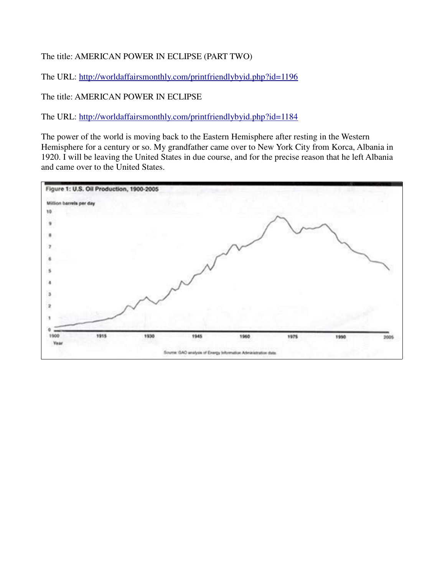The title: AMERICAN POWER IN ECLIPSE (PART TWO)

The URL: http://worldaffairsmonthly.com/printfriendlybyid.php?id=1196

The title: AMERICAN POWER IN ECLIPSE

The URL: http://worldaffairsmonthly.com/printfriendlybyid.php?id=1184

The power of the world is moving back to the Eastern Hemisphere after resting in the Western Hemisphere for a century or so. My grandfather came over to New York City from Korca, Albania in 1920. I will be leaving the United States in due course, and for the precise reason that he left Albania and came over to the United States.

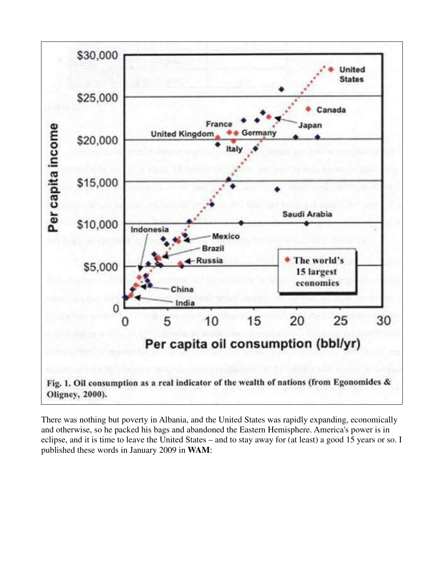

There was nothing but poverty in Albania, and the United States was rapidly expanding, economically and otherwise, so he packed his bags and abandoned the Eastern Hemisphere. America's power is in eclipse, and it is time to leave the United States – and to stay away for (at least) a good 15 years or so. I published these words in January 2009 in **WAM**: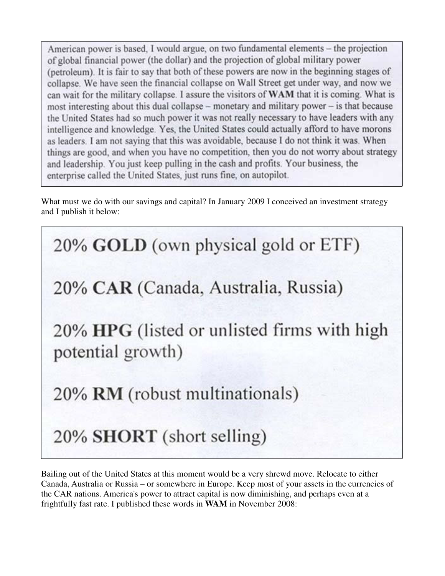American power is based. I would argue, on two fundamental elements – the projection of global financial power (the dollar) and the projection of global military power (petroleum). It is fair to say that both of these powers are now in the beginning stages of collapse. We have seen the financial collapse on Wall Street get under way, and now we can wait for the military collapse. I assure the visitors of WAM that it is coming. What is most interesting about this dual collapse - monetary and military power - is that because the United States had so much power it was not really necessary to have leaders with any intelligence and knowledge. Yes, the United States could actually afford to have morons as leaders. I am not saying that this was avoidable, because I do not think it was. When things are good, and when you have no competition, then you do not worry about strategy and leadership. You just keep pulling in the cash and profits. Your business, the enterprise called the United States, just runs fine, on autopilot.

What must we do with our savings and capital? In January 2009 I conceived an investment strategy and I publish it below:

20% GOLD (own physical gold or ETF) 20% CAR (Canada, Australia, Russia) 20% HPG (listed or unlisted firms with high potential growth) 20% RM (robust multinationals) 20% SHORT (short selling)

Bailing out of the United States at this moment would be a very shrewd move. Relocate to either Canada, Australia or Russia – or somewhere in Europe. Keep most of your assets in the currencies of the CAR nations. America's power to attract capital is now diminishing, and perhaps even at a frightfully fast rate. I published these words in **WAM** in November 2008: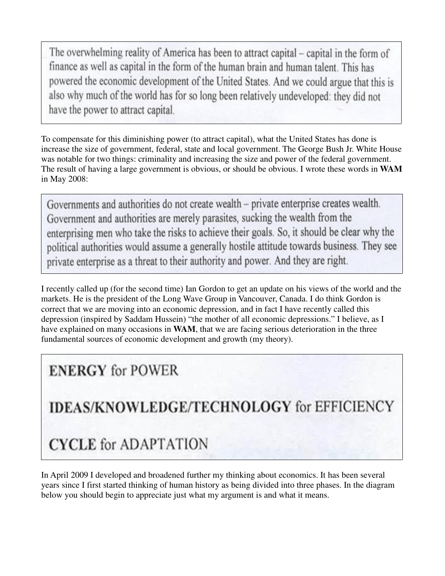The overwhelming reality of America has been to attract capital – capital in the form of finance as well as capital in the form of the human brain and human talent. This has powered the economic development of the United States. And we could argue that this is also why much of the world has for so long been relatively undeveloped: they did not have the power to attract capital.

To compensate for this diminishing power (to attract capital), what the United States has done is increase the size of government, federal, state and local government. The George Bush Jr. White House was notable for two things: criminality and increasing the size and power of the federal government. The result of having a large government is obvious, or should be obvious. I wrote these words in **WAM** in May 2008:

Governments and authorities do not create wealth – private enterprise creates wealth. Government and authorities are merely parasites, sucking the wealth from the enterprising men who take the risks to achieve their goals. So, it should be clear why the political authorities would assume a generally hostile attitude towards business. They see private enterprise as a threat to their authority and power. And they are right.

I recently called up (for the second time) Ian Gordon to get an update on his views of the world and the markets. He is the president of the Long Wave Group in Vancouver, Canada. I do think Gordon is correct that we are moving into an economic depression, and in fact I have recently called this depression (inspired by Saddam Hussein) "the mother of all economic depressions." I believe, as I have explained on many occasions in **WAM**, that we are facing serious deterioration in the three fundamental sources of economic development and growth (my theory).

## **ENERGY** for POWER

**IDEAS/KNOWLEDGE/TECHNOLOGY for EFFICIENCY** 

# **CYCLE** for ADAPTATION

In April 2009 I developed and broadened further my thinking about economics. It has been several years since I first started thinking of human history as being divided into three phases. In the diagram below you should begin to appreciate just what my argument is and what it means.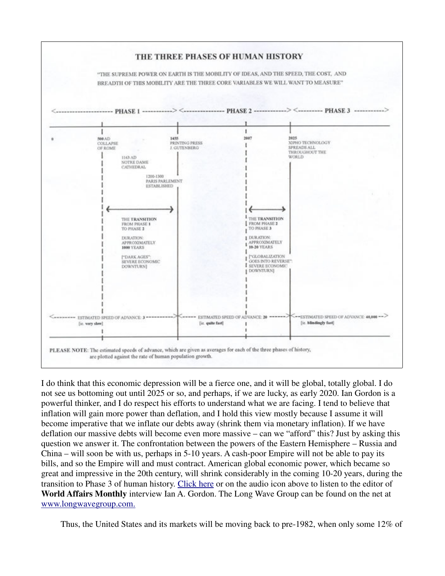

I do think that this economic depression will be a fierce one, and it will be global, totally global. I do not see us bottoming out until 2025 or so, and perhaps, if we are lucky, as early 2020. Ian Gordon is a powerful thinker, and I do respect his efforts to understand what we are facing. I tend to believe that inflation will gain more power than deflation, and I hold this view mostly because I assume it will become imperative that we inflate our debts away (shrink them via monetary inflation). If we have deflation our massive debts will become even more massive – can we "afford" this? Just by asking this question we answer it. The confrontation between the powers of the Eastern Hemisphere – Russia and China – will soon be with us, perhaps in 5-10 years. A cash-poor Empire will not be able to pay its bills, and so the Empire will and must contract. American global economic power, which became so great and impressive in the 20th century, will shrink considerably in the coming 10-20 years, during the transition to Phase 3 of human history. Click here or on the audio icon above to listen to the editor of **World Affairs Monthly** interview Ian A. Gordon. The Long Wave Group can be found on the net at www.longwavegroup.com.

Thus, the United States and its markets will be moving back to pre-1982, when only some 12% of